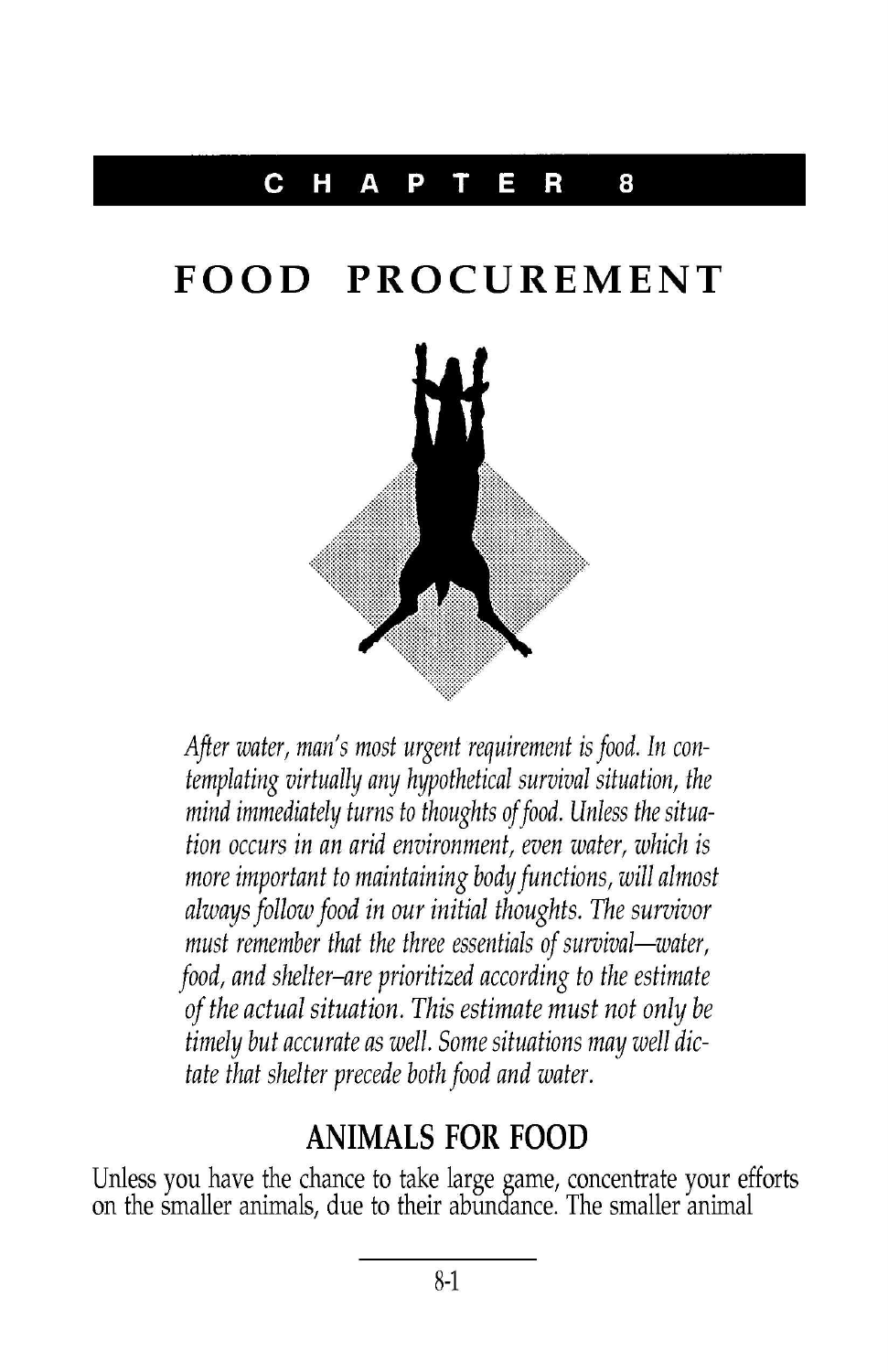## **CHAPTER 8**

## **FOOD PROCUREMENT**



After water, man's most urgent requirement is food. In contemplating virtually any hypothetical survival situation, the mind immediately turns to thoughts of food. Unless the situation occurs in an arid environment, even water, which is more important to maintaining body functions, will almost always follow food in our initial thoughts. The survivor must remember that the three essentials of survival—water, food, and shelter-are prioritized according to the estimate of the actual situation. This estimate must not only be timely but accurate as well. Some situations may well dictate that shelter precede both food and water.

## **ANIMALS FOR FOOD**

Unless you have the chance to take large game, concentrate your efforts on the smaller animals, due to their abundance. The smaller anima